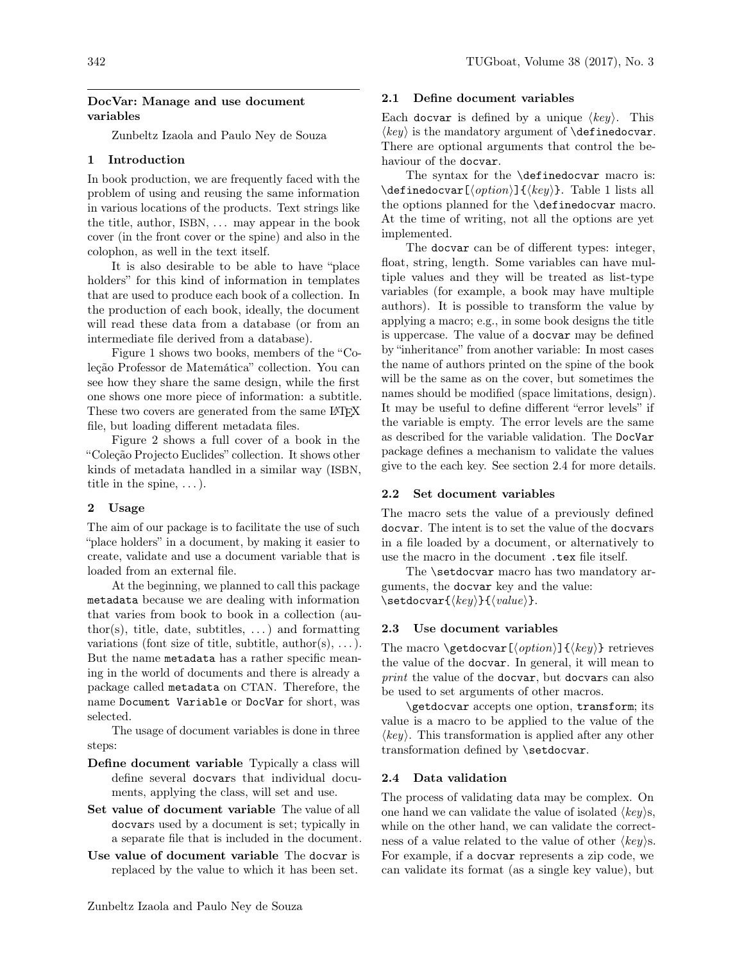### DocVar: Manage and use document variables

Zunbeltz Izaola and Paulo Ney de Souza

# 1 Introduction

In book production, we are frequently faced with the problem of using and reusing the same information in various locations of the products. Text strings like the title, author, ISBN, . . . may appear in the book cover (in the front cover or the spine) and also in the colophon, as well in the text itself.

It is also desirable to be able to have "place holders" for this kind of information in templates that are used to produce each book of a collection. In the production of each book, ideally, the document will read these data from a database (or from an intermediate file derived from a database).

Figure [1](#page-1-0) shows two books, members of the "Coleção Professor de Matemática" collection. You can see how they share the same design, while the first one shows one more piece of information: a subtitle. These two covers are generated from the same LATEX file, but loading different metadata files.

Figure [2](#page-1-1) shows a full cover of a book in the "Coleção Projecto Euclides" collection. It shows other kinds of metadata handled in a similar way (ISBN, title in the spine,  $\dots$ ).

#### 2 Usage

The aim of our package is to facilitate the use of such "place holders" in a document, by making it easier to create, validate and use a document variable that is loaded from an external file.

At the beginning, we planned to call this package metadata because we are dealing with information that varies from book to book in a collection (author(s), title, date, subtitles,  $\dots$ ) and formatting variations (font size of title, subtitle, author(s),  $\dots$ ). But the name metadata has a rather specific meaning in the world of documents and there is already a package called metadata on CTAN. Therefore, the name Document Variable or DocVar for short, was selected.

The usage of document variables is done in three steps:

- Define document variable Typically a class will define several docvars that individual documents, applying the class, will set and use.
- Set value of document variable The value of all docvars used by a document is set; typically in a separate file that is included in the document.
- Use value of document variable The docvar is replaced by the value to which it has been set.

### 2.1 Define document variables

Each docvar is defined by a unique  $\langle key \rangle$ . This  $\langle key \rangle$  is the mandatory argument of **\definedocvar**. There are optional arguments that control the behaviour of the docvar.

The syntax for the \definedocvar macro is:  $\delta$  \definedocvar[ $\{option\}$ ]{ $\{key\}$ . Table [1](#page-1-2) lists all the options planned for the \definedocvar macro. At the time of writing, not all the options are yet implemented.

The docvar can be of different types: integer, float, string, length. Some variables can have multiple values and they will be treated as list-type variables (for example, a book may have multiple authors). It is possible to transform the value by applying a macro; e.g., in some book designs the title is uppercase. The value of a docvar may be defined by "inheritance" from another variable: In most cases the name of authors printed on the spine of the book will be the same as on the cover, but sometimes the names should be modified (space limitations, design). It may be useful to define different "error levels" if the variable is empty. The error levels are the same as described for the variable validation. The DocVar package defines a mechanism to validate the values give to the each key. See section [2.4](#page-0-0) for more details.

### 2.2 Set document variables

The macro sets the value of a previously defined docvar. The intent is to set the value of the docvars in a file loaded by a document, or alternatively to use the macro in the document .tex file itself.

The **\setdocvar** macro has two mandatory arguments, the docvar key and the value:  $\setminus$ setdocvar $\{\langle key \rangle\}$  $\setminus \langle value \rangle$ .

#### 2.3 Use document variables

The macro \getdocvar[\lamption\]{\lamptide}}} retrieves the value of the docvar. In general, it will mean to print the value of the docvar, but docvars can also be used to set arguments of other macros.

\getdocvar accepts one option, transform; its value is a macro to be applied to the value of the  $\langle key \rangle$ . This transformation is applied after any other transformation defined by \setdocvar.

#### <span id="page-0-0"></span>2.4 Data validation

The process of validating data may be complex. On one hand we can validate the value of isolated  $\langle key \rangle$ s, while on the other hand, we can validate the correctness of a value related to the value of other  $\langle key \rangle$ s. For example, if a docvar represents a zip code, we can validate its format (as a single key value), but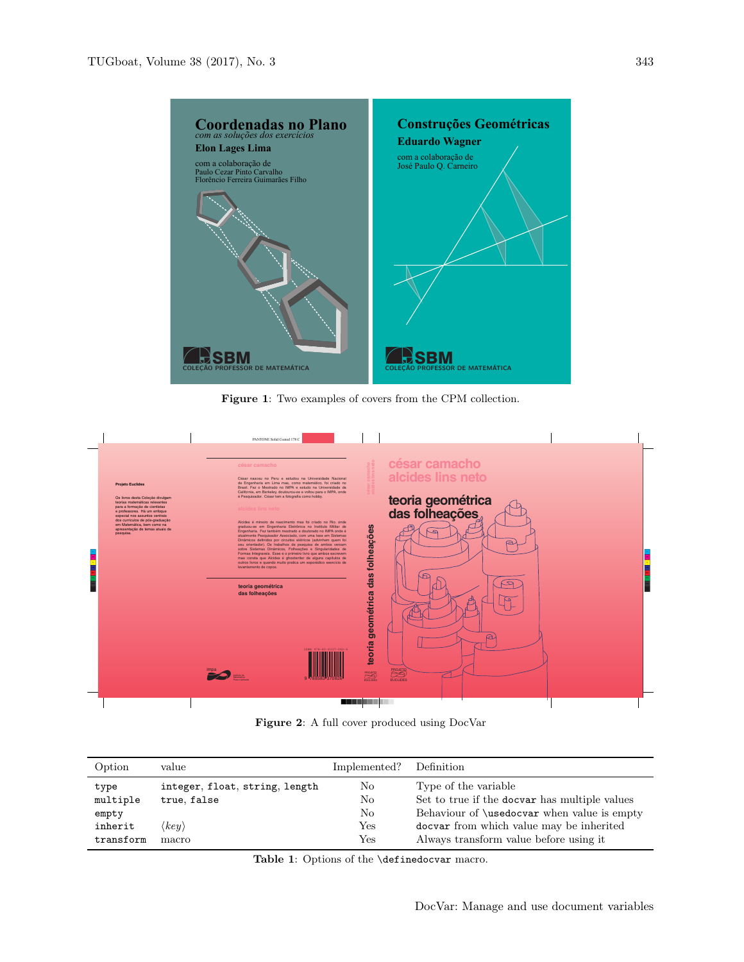

<span id="page-1-0"></span>Figure 1: Two examples of covers from the CPM collection.



<span id="page-1-1"></span>Figure 2: A full cover produced using DocVar

| Option    | value                          | Implemented? | Definition                                         |
|-----------|--------------------------------|--------------|----------------------------------------------------|
| type      | integer, float, string, length | No           | Type of the variable                               |
| multiple  | true, false                    | No           | Set to true if the docvar has multiple values      |
| empty     |                                | No           | Behaviour of <i>\usedocvar</i> when value is empty |
| inherit   | $\langle key \rangle$          | Yes          | docvar from which value may be inherited           |
| transform | macro                          | Yes          | Always transform value before using it.            |

<span id="page-1-2"></span>Table 1: Options of the **\definedocvar** macro.